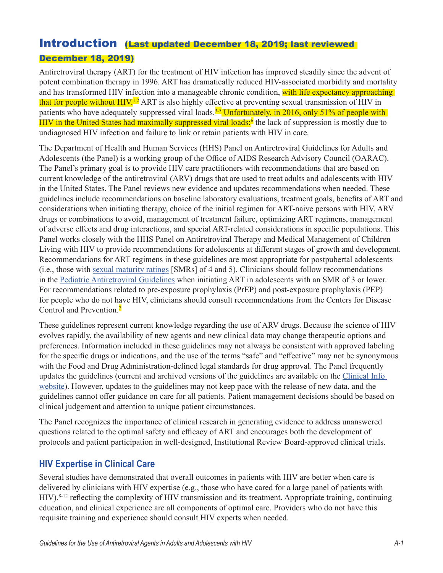## Introduction (Last updated December 18, 2019; last reviewed

### December 18, 2019)

Antiretroviral therapy (ART) for the treatment of HIV infection has improved steadily since the advent of potent combination therapy in 1996. ART has dramatically reduced HIV-associated morbidity and mortality and has transformed HIV infection into a manageable chronic condition, with life expectancy approaching that for people without  $HIV<sub>1,2</sub>$  ART is also highly effective at preventing sexual transmission of HIV in patients who have adequately suppressed viral loads.<sup>3-5</sup> Unfortunately, in 2016, only 51% of people with HIV in the United States had maximally suppressed viral loads;<sup>6</sup> the lack of suppression is mostly due to undiagnosed HIV infection and failure to link or retain patients with HIV in care.

The Department of Health and Human Services (HHS) Panel on Antiretroviral Guidelines for Adults and Adolescents (the Panel) is a working group of the Office of AIDS Research Advisory Council (OARAC). The Panel's primary goal is to provide HIV care practitioners with recommendations that are based on current knowledge of the antiretroviral (ARV) drugs that are used to treat adults and adolescents with HIV in the United States. The Panel reviews new evidence and updates recommendations when needed. These guidelines include recommendations on baseline laboratory evaluations, treatment goals, benefits of ART and considerations when initiating therapy, choice of the initial regimen for ART-naive persons with HIV, ARV drugs or combinations to avoid, management of treatment failure, optimizing ART regimens, management of adverse effects and drug interactions, and special ART-related considerations in specific populations. This Panel works closely with the HHS Panel on Antiretroviral Therapy and Medical Management of Children Living with HIV to provide recommendations for adolescents at different stages of growth and development. Recommendations for ART regimens in these guidelines are most appropriate for postpubertal adolescents (i.e., those with [sexual maturity ratings](https://www.ncbi.nlm.nih.gov/books/NBK138588/) [SMRs] of 4 and 5). Clinicians should follow recommendations in the [Pediatric Antiretroviral Guidelines](https://clinicalinfo.hiv.gov/en/guidelines/pediatric-arv/whats-new-guidelines) when initiating ART in adolescents with an SMR of 3 or lower. For recommendations related to pre-exposure prophylaxis (PrEP) and post-exposure prophylaxis (PEP) for people who do not have HIV, clinicians should consult recommendations from the Centers for Disease Control and Prevention.<sup>7</sup>

These guidelines represent current knowledge regarding the use of ARV drugs. Because the science of HIV evolves rapidly, the availability of new agents and new clinical data may change therapeutic options and preferences. Information included in these guidelines may not always be consistent with approved labeling for the specific drugs or indications, and the use of the terms "safe" and "effective" may not be synonymous with the Food and Drug Administration-defined legal standards for drug approval. The Panel frequently updates the guidelines (current and archived versions of the guidelines are available on the [Clinical Info](https://clinicalinfo.hiv.gov/)  [website](https://clinicalinfo.hiv.gov/)). However, updates to the guidelines may not keep pace with the release of new data, and the guidelines cannot offer guidance on care for all patients. Patient management decisions should be based on clinical judgement and attention to unique patient circumstances.

The Panel recognizes the importance of clinical research in generating evidence to address unanswered questions related to the optimal safety and efficacy of ART and encourages both the development of protocols and patient participation in well-designed, Institutional Review Board-approved clinical trials.

### **HIV Expertise in Clinical Care**

Several studies have demonstrated that overall outcomes in patients with HIV are better when care is delivered by clinicians with HIV expertise (e.g., those who have cared for a large panel of patients with HIV),<sup>8-12</sup> reflecting the complexity of HIV transmission and its treatment. Appropriate training, continuing education, and clinical experience are all components of optimal care. Providers who do not have this requisite training and experience should consult HIV experts when needed.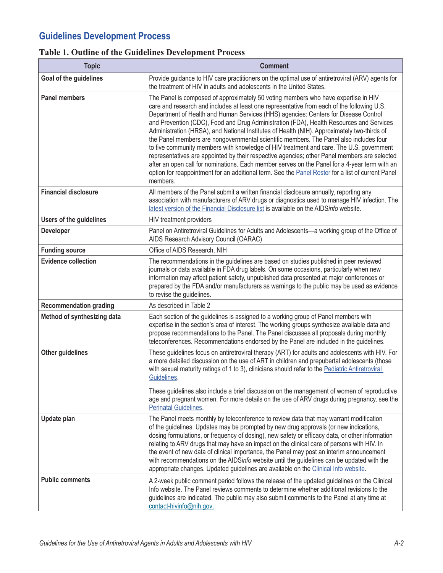# **Guidelines Development Process**

### **Table 1. Outline of the Guidelines Development Process**

| <b>Topic</b>                   | <b>Comment</b>                                                                                                                                                                                                                                                                                                                                                                                                                                                                                                                                                                                                                                                                                                                                                                                                                                                                                                                                                                  |  |  |  |
|--------------------------------|---------------------------------------------------------------------------------------------------------------------------------------------------------------------------------------------------------------------------------------------------------------------------------------------------------------------------------------------------------------------------------------------------------------------------------------------------------------------------------------------------------------------------------------------------------------------------------------------------------------------------------------------------------------------------------------------------------------------------------------------------------------------------------------------------------------------------------------------------------------------------------------------------------------------------------------------------------------------------------|--|--|--|
| Goal of the guidelines         | Provide guidance to HIV care practitioners on the optimal use of antiretroviral (ARV) agents for<br>the treatment of HIV in adults and adolescents in the United States.                                                                                                                                                                                                                                                                                                                                                                                                                                                                                                                                                                                                                                                                                                                                                                                                        |  |  |  |
| <b>Panel members</b>           | The Panel is composed of approximately 50 voting members who have expertise in HIV<br>care and research and includes at least one representative from each of the following U.S.<br>Department of Health and Human Services (HHS) agencies: Centers for Disease Control<br>and Prevention (CDC), Food and Drug Administration (FDA), Health Resources and Services<br>Administration (HRSA), and National Institutes of Health (NIH). Approximately two-thirds of<br>the Panel members are nongovernmental scientific members. The Panel also includes four<br>to five community members with knowledge of HIV treatment and care. The U.S. government<br>representatives are appointed by their respective agencies; other Panel members are selected<br>after an open call for nominations. Each member serves on the Panel for a 4-year term with an<br>option for reappointment for an additional term. See the <b>Panel Roster</b> for a list of current Panel<br>members. |  |  |  |
| <b>Financial disclosure</b>    | All members of the Panel submit a written financial disclosure annually, reporting any<br>association with manufacturers of ARV drugs or diagnostics used to manage HIV infection. The<br>latest version of the Financial Disclosure list is available on the AIDSinfo website.                                                                                                                                                                                                                                                                                                                                                                                                                                                                                                                                                                                                                                                                                                 |  |  |  |
| <b>Users of the guidelines</b> | HIV treatment providers                                                                                                                                                                                                                                                                                                                                                                                                                                                                                                                                                                                                                                                                                                                                                                                                                                                                                                                                                         |  |  |  |
| <b>Developer</b>               | Panel on Antiretroviral Guidelines for Adults and Adolescents-a working group of the Office of<br>AIDS Research Advisory Council (OARAC)                                                                                                                                                                                                                                                                                                                                                                                                                                                                                                                                                                                                                                                                                                                                                                                                                                        |  |  |  |
| <b>Funding source</b>          | Office of AIDS Research, NIH                                                                                                                                                                                                                                                                                                                                                                                                                                                                                                                                                                                                                                                                                                                                                                                                                                                                                                                                                    |  |  |  |
| <b>Evidence collection</b>     | The recommendations in the guidelines are based on studies published in peer reviewed<br>journals or data available in FDA drug labels. On some occasions, particularly when new<br>information may affect patient safety, unpublished data presented at major conferences or<br>prepared by the FDA and/or manufacturers as warnings to the public may be used as evidence<br>to revise the guidelines.                                                                                                                                                                                                                                                                                                                                                                                                                                                                                                                                                                        |  |  |  |
| <b>Recommendation grading</b>  | As described in Table 2                                                                                                                                                                                                                                                                                                                                                                                                                                                                                                                                                                                                                                                                                                                                                                                                                                                                                                                                                         |  |  |  |
| Method of synthesizing data    | Each section of the guidelines is assigned to a working group of Panel members with<br>expertise in the section's area of interest. The working groups synthesize available data and<br>propose recommendations to the Panel. The Panel discusses all proposals during monthly<br>teleconferences. Recommendations endorsed by the Panel are included in the guidelines.                                                                                                                                                                                                                                                                                                                                                                                                                                                                                                                                                                                                        |  |  |  |
| Other guidelines               | These guidelines focus on antiretroviral therapy (ART) for adults and adolescents with HIV. For<br>a more detailed discussion on the use of ART in children and prepubertal adolescents (those<br>with sexual maturity ratings of 1 to 3), clinicians should refer to the Pediatric Antiretroviral<br>Guidelines.<br>These guidelines also include a brief discussion on the management of women of reproductive<br>age and pregnant women. For more details on the use of ARV drugs during pregnancy, see the<br><b>Perinatal Guidelines.</b>                                                                                                                                                                                                                                                                                                                                                                                                                                  |  |  |  |
| Update plan                    | The Panel meets monthly by teleconference to review data that may warrant modification<br>of the guidelines. Updates may be prompted by new drug approvals (or new indications,<br>dosing formulations, or frequency of dosing), new safety or efficacy data, or other information<br>relating to ARV drugs that may have an impact on the clinical care of persons with HIV. In<br>the event of new data of clinical importance, the Panel may post an interim announcement<br>with recommendations on the AIDSinfo website until the guidelines can be updated with the<br>appropriate changes. Updated guidelines are available on the Clinical Info website.                                                                                                                                                                                                                                                                                                                |  |  |  |
| <b>Public comments</b>         | A 2-week public comment period follows the release of the updated guidelines on the Clinical<br>Info website. The Panel reviews comments to determine whether additional revisions to the<br>guidelines are indicated. The public may also submit comments to the Panel at any time at<br>contact-hivinfo@nih.gov.                                                                                                                                                                                                                                                                                                                                                                                                                                                                                                                                                                                                                                                              |  |  |  |